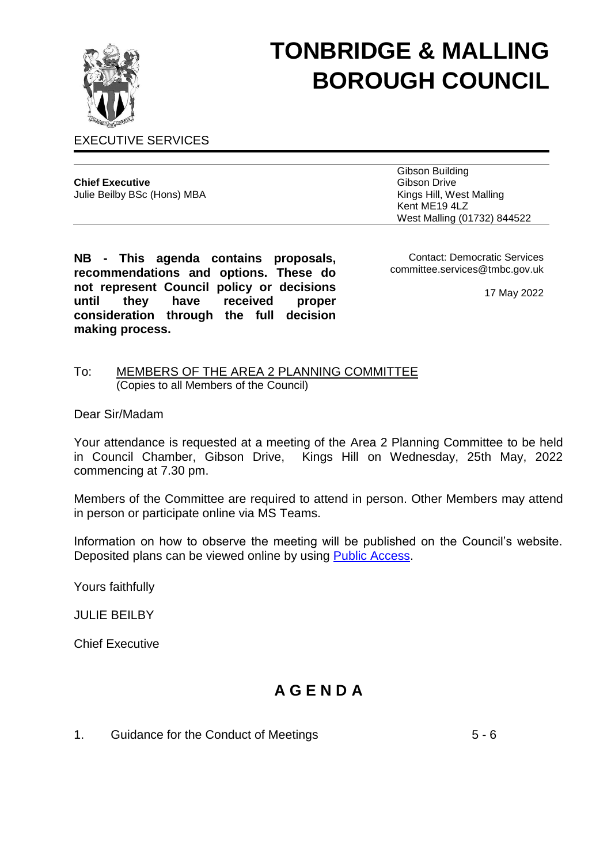

# **TONBRIDGE & MALLING BOROUGH COUNCIL**

EXECUTIVE SERVICES

| <b>Chief Executive</b>      |  |
|-----------------------------|--|
| Julie Beilby BSc (Hons) MBA |  |

Gibson Building Gibson Drive Kings Hill, West Malling Kent ME19 4LZ West Malling (01732) 844522

**NB - This agenda contains proposals, recommendations and options. These do not represent Council policy or decisions until they have received proper consideration through the full decision making process.**

Contact: Democratic Services committee.services@tmbc.gov.uk

17 May 2022

#### To: MEMBERS OF THE AREA 2 PLANNING COMMITTEE (Copies to all Members of the Council)

Dear Sir/Madam

Your attendance is requested at a meeting of the Area 2 Planning Committee to be held in Council Chamber, Gibson Drive, Kings Hill on Wednesday, 25th May, 2022 commencing at 7.30 pm.

Members of the Committee are required to attend in person. Other Members may attend in person or participate online via MS Teams.

Information on how to observe the meeting will be published on the Council's website. Deposited plans can be viewed online by using [Public Access.](http://www.tmbc.gov.uk/view-planning-applications)

Yours faithfully

JULIE BEILBY

Chief Executive

# **A G E N D A**

1. Guidance for the Conduct of Meetings **5 - 6**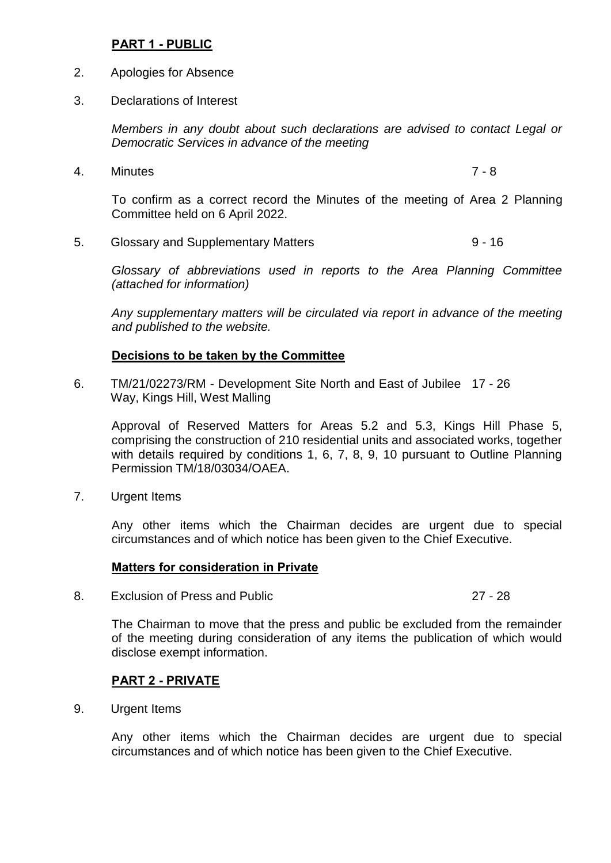## **PART 1 - PUBLIC**

- 2. Apologies for Absence
- 3. Declarations of Interest

*Members in any doubt about such declarations are advised to contact Legal or Democratic Services in advance of the meeting*

4. Minutes 7 - 8

To confirm as a correct record the Minutes of the meeting of Area 2 Planning Committee held on 6 April 2022.

5. Glossary and Supplementary Matters 6. The Supplementary Matters 6. The Supplementary Matters 6. The Supplementary Matters 6. The Supplementary Matters 6. The Supplementary Matters 6. The Supplementary Matters 6. The Sup

*Glossary of abbreviations used in reports to the Area Planning Committee (attached for information)*

*Any supplementary matters will be circulated via report in advance of the meeting and published to the website.*

# **Decisions to be taken by the Committee**

6. TM/21/02273/RM - Development Site North and East of Jubilee 17 - 26 Way, Kings Hill, West Malling

Approval of Reserved Matters for Areas 5.2 and 5.3, Kings Hill Phase 5, comprising the construction of 210 residential units and associated works, together with details required by conditions 1, 6, 7, 8, 9, 10 pursuant to Outline Planning Permission TM/18/03034/OAEA.

7. Urgent Items

Any other items which the Chairman decides are urgent due to special circumstances and of which notice has been given to the Chief Executive.

#### **Matters for consideration in Private**

8. Exclusion of Press and Public 27 - 28

The Chairman to move that the press and public be excluded from the remainder of the meeting during consideration of any items the publication of which would disclose exempt information.

#### **PART 2 - PRIVATE**

9. Urgent Items

Any other items which the Chairman decides are urgent due to special circumstances and of which notice has been given to the Chief Executive.